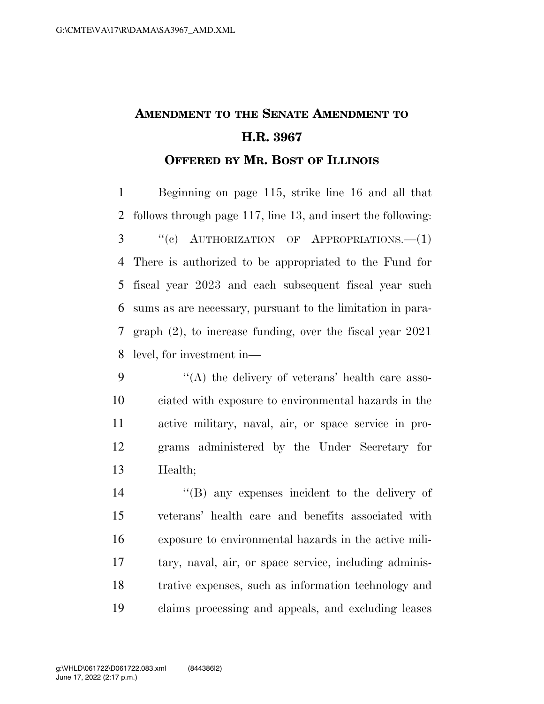## **AMENDMENT TO THE SENATE AMENDMENT TO H.R. 3967 OFFERED BY MR. BOST OF ILLINOIS**

 Beginning on page 115, strike line 16 and all that follows through page 117, line 13, and insert the following: ''(c) AUTHORIZATION OF APPROPRIATIONS.—(1) There is authorized to be appropriated to the Fund for fiscal year 2023 and each subsequent fiscal year such sums as are necessary, pursuant to the limitation in para- graph (2), to increase funding, over the fiscal year 2021 level, for investment in—

 ''(A) the delivery of veterans' health care asso- ciated with exposure to environmental hazards in the active military, naval, air, or space service in pro- grams administered by the Under Secretary for Health;

 ''(B) any expenses incident to the delivery of veterans' health care and benefits associated with exposure to environmental hazards in the active mili- tary, naval, air, or space service, including adminis- trative expenses, such as information technology and claims processing and appeals, and excluding leases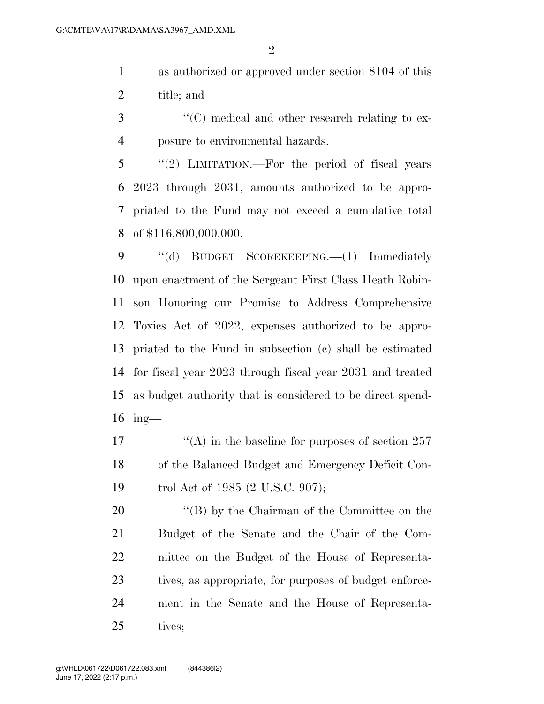as authorized or approved under section 8104 of this title; and

3  $\langle ^{\prime}(C) \rangle$  medical and other research relating to ex-posure to environmental hazards.

 "(2) LIMITATION.—For the period of fiscal years 2023 through 2031, amounts authorized to be appro- priated to the Fund may not exceed a cumulative total of \$116,800,000,000.

9 "(d) BUDGET SCOREKEEPING.—(1) Immediately upon enactment of the Sergeant First Class Heath Robin- son Honoring our Promise to Address Comprehensive Toxics Act of 2022, expenses authorized to be appro- priated to the Fund in subsection (c) shall be estimated for fiscal year 2023 through fiscal year 2031 and treated as budget authority that is considered to be direct spend-ing—

17  $\langle (A) \rangle$  in the baseline for purposes of section 257 of the Balanced Budget and Emergency Deficit Con-trol Act of 1985 (2 U.S.C. 907);

20 "(B) by the Chairman of the Committee on the Budget of the Senate and the Chair of the Com- mittee on the Budget of the House of Representa-23 tives, as appropriate, for purposes of budget enforce- ment in the Senate and the House of Representa-tives;